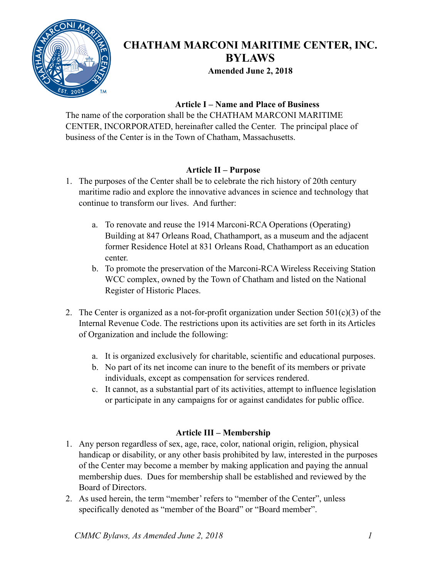

# **CHATHAM MARCONI MARITIME CENTER, INC. BYLAWS**

**Amended June 2, 2018** 

# **Article I – Name and Place of Business**

The name of the corporation shall be the CHATHAM MARCONI MARITIME CENTER, INCORPORATED, hereinafter called the Center. The principal place of business of the Center is in the Town of Chatham, Massachusetts.

# **Article II – Purpose**

- 1. The purposes of the Center shall be to celebrate the rich history of 20th century maritime radio and explore the innovative advances in science and technology that continue to transform our lives. And further:
	- a. To renovate and reuse the 1914 Marconi-RCA Operations (Operating) Building at 847 Orleans Road, Chathamport, as a museum and the adjacent former Residence Hotel at 831 Orleans Road, Chathamport as an education center.
	- b. To promote the preservation of the Marconi-RCA Wireless Receiving Station WCC complex, owned by the Town of Chatham and listed on the National Register of Historic Places.
- 2. The Center is organized as a not-for-profit organization under Section  $501(c)(3)$  of the Internal Revenue Code. The restrictions upon its activities are set forth in its Articles of Organization and include the following:
	- a. It is organized exclusively for charitable, scientific and educational purposes.
	- b. No part of its net income can inure to the benefit of its members or private individuals, except as compensation for services rendered.
	- c. It cannot, as a substantial part of its activities, attempt to influence legislation or participate in any campaigns for or against candidates for public office.

# **Article III – Membership**

- 1. Any person regardless of sex, age, race, color, national origin, religion, physical handicap or disability, or any other basis prohibited by law, interested in the purposes of the Center may become a member by making application and paying the annual membership dues. Dues for membership shall be established and reviewed by the Board of Directors.
- 2. As used herein, the term "member' refers to "member of the Center", unless specifically denoted as "member of the Board" or "Board member".

*CMMC Bylaws, As Amended June 2, 2018 1*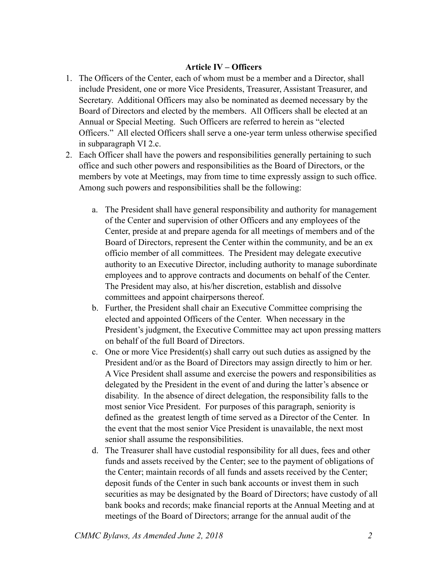#### **Article IV – Officers**

- 1. The Officers of the Center, each of whom must be a member and a Director, shall include President, one or more Vice Presidents, Treasurer, Assistant Treasurer, and Secretary. Additional Officers may also be nominated as deemed necessary by the Board of Directors and elected by the members. All Officers shall be elected at an Annual or Special Meeting. Such Officers are referred to herein as "elected Officers." All elected Officers shall serve a one-year term unless otherwise specified in subparagraph VI 2.c.
- 2. Each Officer shall have the powers and responsibilities generally pertaining to such office and such other powers and responsibilities as the Board of Directors, or the members by vote at Meetings, may from time to time expressly assign to such office. Among such powers and responsibilities shall be the following:
	- a. The President shall have general responsibility and authority for management of the Center and supervision of other Officers and any employees of the Center, preside at and prepare agenda for all meetings of members and of the Board of Directors, represent the Center within the community, and be an ex officio member of all committees. The President may delegate executive authority to an Executive Director, including authority to manage subordinate employees and to approve contracts and documents on behalf of the Center. The President may also, at his/her discretion, establish and dissolve committees and appoint chairpersons thereof.
	- b. Further, the President shall chair an Executive Committee comprising the elected and appointed Officers of the Center. When necessary in the President's judgment, the Executive Committee may act upon pressing matters on behalf of the full Board of Directors.
	- c. One or more Vice President(s) shall carry out such duties as assigned by the President and/or as the Board of Directors may assign directly to him or her. A Vice President shall assume and exercise the powers and responsibilities as delegated by the President in the event of and during the latter's absence or disability. In the absence of direct delegation, the responsibility falls to the most senior Vice President. For purposes of this paragraph, seniority is defined as the greatest length of time served as a Director of the Center. In the event that the most senior Vice President is unavailable, the next most senior shall assume the responsibilities.
	- d. The Treasurer shall have custodial responsibility for all dues, fees and other funds and assets received by the Center; see to the payment of obligations of the Center; maintain records of all funds and assets received by the Center; deposit funds of the Center in such bank accounts or invest them in such securities as may be designated by the Board of Directors; have custody of all bank books and records; make financial reports at the Annual Meeting and at meetings of the Board of Directors; arrange for the annual audit of the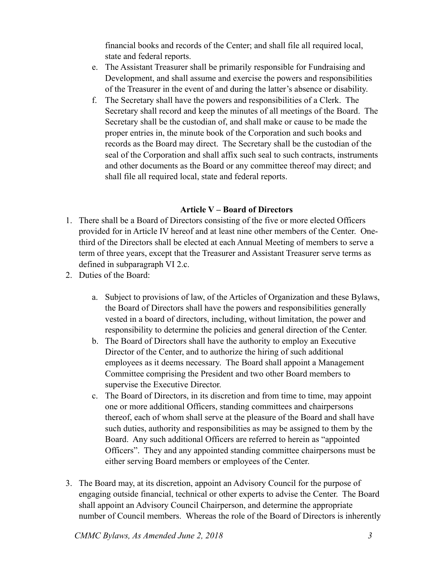financial books and records of the Center; and shall file all required local, state and federal reports.

- e. The Assistant Treasurer shall be primarily responsible for Fundraising and Development, and shall assume and exercise the powers and responsibilities of the Treasurer in the event of and during the latter's absence or disability.
- f. The Secretary shall have the powers and responsibilities of a Clerk. The Secretary shall record and keep the minutes of all meetings of the Board. The Secretary shall be the custodian of, and shall make or cause to be made the proper entries in, the minute book of the Corporation and such books and records as the Board may direct. The Secretary shall be the custodian of the seal of the Corporation and shall affix such seal to such contracts, instruments and other documents as the Board or any committee thereof may direct; and shall file all required local, state and federal reports.

# **Article V – Board of Directors**

- 1. There shall be a Board of Directors consisting of the five or more elected Officers provided for in Article IV hereof and at least nine other members of the Center. Onethird of the Directors shall be elected at each Annual Meeting of members to serve a term of three years, except that the Treasurer and Assistant Treasurer serve terms as defined in subparagraph VI 2.c.
- 2. Duties of the Board:
	- a. Subject to provisions of law, of the Articles of Organization and these Bylaws, the Board of Directors shall have the powers and responsibilities generally vested in a board of directors, including, without limitation, the power and responsibility to determine the policies and general direction of the Center.
	- b. The Board of Directors shall have the authority to employ an Executive Director of the Center, and to authorize the hiring of such additional employees as it deems necessary. The Board shall appoint a Management Committee comprising the President and two other Board members to supervise the Executive Director.
	- c. The Board of Directors, in its discretion and from time to time, may appoint one or more additional Officers, standing committees and chairpersons thereof, each of whom shall serve at the pleasure of the Board and shall have such duties, authority and responsibilities as may be assigned to them by the Board. Any such additional Officers are referred to herein as "appointed Officers". They and any appointed standing committee chairpersons must be either serving Board members or employees of the Center.
- 3. The Board may, at its discretion, appoint an Advisory Council for the purpose of engaging outside financial, technical or other experts to advise the Center. The Board shall appoint an Advisory Council Chairperson, and determine the appropriate number of Council members. Whereas the role of the Board of Directors is inherently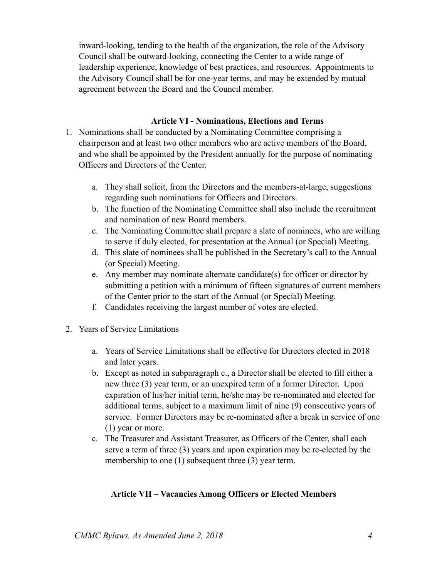inward-looking, tending to the health of the organization, the role of the Advisory Council shall be outward-looking, connecting the Center to a wide range of leadership experience, knowledge of best practices, and resources. Appointments to the Advisory Council shall be for one-year terms, and may be extended by mutual agreement between the Board and the Council member.

#### **Article VI - Nominations, Elections and Terms**

- 1. Nominations shall be conducted by a Nominating Committee comprising a chairperson and at least two other members who are active members of the Board, and who shall be appointed by the President annually for the purpose of nominating Officers and Directors of the Center.
	- a. They shall solicit, from the Directors and the members-at-large, suggestions regarding such nominations for Officers and Directors.
	- b. The function of the Nominating Committee shall also include the recruitment and nomination of new Board members.
	- c. The Nominating Committee shall prepare a slate of nominees, who are willing to serve if duly elected, for presentation at the Annual (or Special) Meeting.
	- d. This slate of nominees shall be published in the Secretary's call to the Annual (or Special) Meeting.
	- e. Any member may nominate alternate candidate(s) for officer or director by submitting a petition with a minimum of fifteen signatures of current members of the Center prior to the start of the Annual (or Special) Meeting.
	- f. Candidates receiving the largest number of votes are elected.
- 2. Years of Service Limitations
	- a. Years of Service Limitations shall be effective for Directors elected in 2018 and later years.
	- b. Except as noted in subparagraph c., a Director shall be elected to fill either a new three (3) year term, or an unexpired term of a former Director. Upon expiration of his/her initial term, he/she may be re-nominated and elected for additional terms, subject to a maximum limit of nine (9) consecutive years of service. Former Directors may be re-nominated after a break in service of one (1) year or more.
	- c. The Treasurer and Assistant Treasurer, as Officers of the Center, shall each serve a term of three (3) years and upon expiration may be re-elected by the membership to one (1) subsequent three (3) year term.

### **Article VII – Vacancies Among Officers or Elected Members**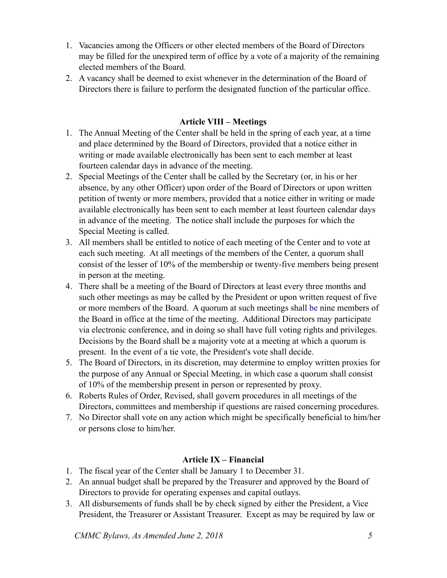- 1. Vacancies among the Officers or other elected members of the Board of Directors may be filled for the unexpired term of office by a vote of a majority of the remaining elected members of the Board.
- 2. A vacancy shall be deemed to exist whenever in the determination of the Board of Directors there is failure to perform the designated function of the particular office.

## **Article VIII – Meetings**

- 1. The Annual Meeting of the Center shall be held in the spring of each year, at a time and place determined by the Board of Directors, provided that a notice either in writing or made available electronically has been sent to each member at least fourteen calendar days in advance of the meeting.
- 2. Special Meetings of the Center shall be called by the Secretary (or, in his or her absence, by any other Officer) upon order of the Board of Directors or upon written petition of twenty or more members, provided that a notice either in writing or made available electronically has been sent to each member at least fourteen calendar days in advance of the meeting. The notice shall include the purposes for which the Special Meeting is called.
- 3. All members shall be entitled to notice of each meeting of the Center and to vote at each such meeting. At all meetings of the members of the Center, a quorum shall consist of the lesser of 10% of the membership or twenty-five members being present in person at the meeting.
- 4. There shall be a meeting of the Board of Directors at least every three months and such other meetings as may be called by the President or upon written request of five or more members of the Board. A quorum at such meetings shall be nine members of the Board in office at the time of the meeting. Additional Directors may participate via electronic conference, and in doing so shall have full voting rights and privileges. Decisions by the Board shall be a majority vote at a meeting at which a quorum is present. In the event of a tie vote, the President's vote shall decide.
- 5. The Board of Directors, in its discretion, may determine to employ written proxies for the purpose of any Annual or Special Meeting, in which case a quorum shall consist of 10% of the membership present in person or represented by proxy.
- 6. Roberts Rules of Order, Revised, shall govern procedures in all meetings of the Directors, committees and membership if questions are raised concerning procedures.
- 7. No Director shall vote on any action which might be specifically beneficial to him/her or persons close to him/her.

# **Article IX – Financial**

- 1. The fiscal year of the Center shall be January 1 to December 31.
- 2. An annual budget shall be prepared by the Treasurer and approved by the Board of Directors to provide for operating expenses and capital outlays.
- 3. All disbursements of funds shall be by check signed by either the President, a Vice President, the Treasurer or Assistant Treasurer. Except as may be required by law or

*CMMC Bylaws, As Amended June 2, 2018 5*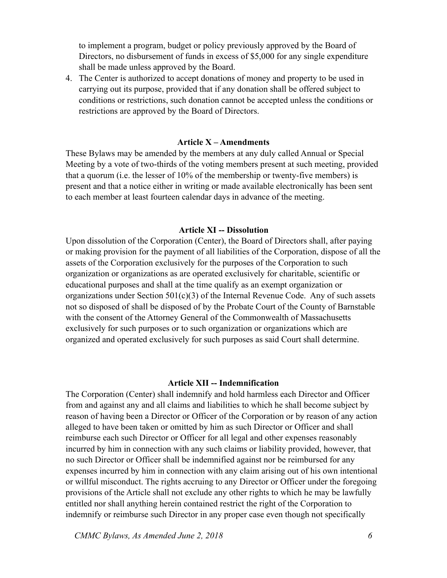to implement a program, budget or policy previously approved by the Board of Directors, no disbursement of funds in excess of \$5,000 for any single expenditure shall be made unless approved by the Board.

4. The Center is authorized to accept donations of money and property to be used in carrying out its purpose, provided that if any donation shall be offered subject to conditions or restrictions, such donation cannot be accepted unless the conditions or restrictions are approved by the Board of Directors.

#### **Article X – Amendments**

These Bylaws may be amended by the members at any duly called Annual or Special Meeting by a vote of two-thirds of the voting members present at such meeting, provided that a quorum (i.e. the lesser of 10% of the membership or twenty-five members) is present and that a notice either in writing or made available electronically has been sent to each member at least fourteen calendar days in advance of the meeting.

#### **Article XI -- Dissolution**

Upon dissolution of the Corporation (Center), the Board of Directors shall, after paying or making provision for the payment of all liabilities of the Corporation, dispose of all the assets of the Corporation exclusively for the purposes of the Corporation to such organization or organizations as are operated exclusively for charitable, scientific or educational purposes and shall at the time qualify as an exempt organization or organizations under Section 501(c)(3) of the Internal Revenue Code. Any of such assets not so disposed of shall be disposed of by the Probate Court of the County of Barnstable with the consent of the Attorney General of the Commonwealth of Massachusetts exclusively for such purposes or to such organization or organizations which are organized and operated exclusively for such purposes as said Court shall determine.

#### **Article XII -- Indemnification**

The Corporation (Center) shall indemnify and hold harmless each Director and Officer from and against any and all claims and liabilities to which he shall become subject by reason of having been a Director or Officer of the Corporation or by reason of any action alleged to have been taken or omitted by him as such Director or Officer and shall reimburse each such Director or Officer for all legal and other expenses reasonably incurred by him in connection with any such claims or liability provided, however, that no such Director or Officer shall be indemnified against nor be reimbursed for any expenses incurred by him in connection with any claim arising out of his own intentional or willful misconduct. The rights accruing to any Director or Officer under the foregoing provisions of the Article shall not exclude any other rights to which he may be lawfully entitled nor shall anything herein contained restrict the right of the Corporation to indemnify or reimburse such Director in any proper case even though not specifically

*CMMC Bylaws, As Amended June 2, 2018 6*